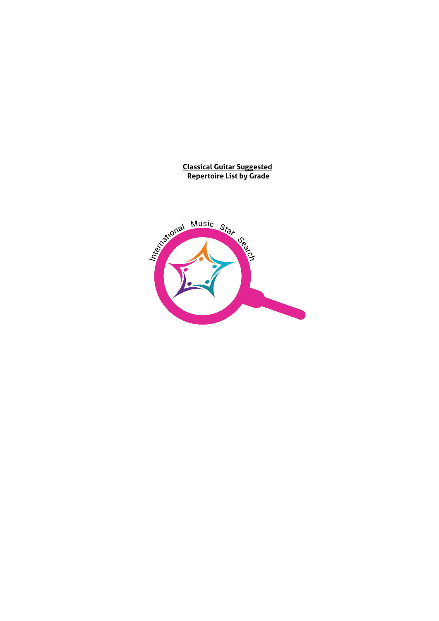#### **Classical Guitar Suggested Repertoire List by Grade**

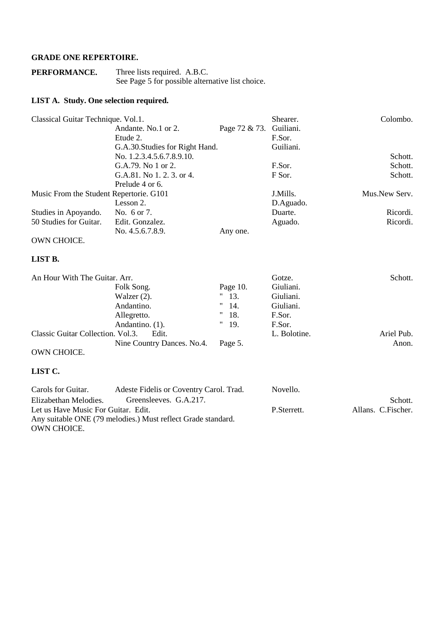### **GRADE ONE REPERTOIRE.**

| PERFORMANCE. | Three lists required. A.B.C.                     |
|--------------|--------------------------------------------------|
|              | See Page 5 for possible alternative list choice. |

### **LIST A. Study. One selection required.**

| Classical Guitar Technique. Vol.1.      |                                 |               | Shearer.     | Colombo.      |
|-----------------------------------------|---------------------------------|---------------|--------------|---------------|
|                                         | Andante. No.1 or 2.             | Page 72 & 73. | Guiliani.    |               |
|                                         | Etude 2.                        |               | F.Sor.       |               |
|                                         | G.A.30. Studies for Right Hand. |               | Guiliani.    |               |
|                                         | No. 1.2.3.4.5.6.7.8.9.10.       |               |              | Schott.       |
|                                         | G.A.79. No 1 or 2.              |               | F.Sor.       | Schott.       |
|                                         | G.A.81. No 1.2.3. or 4.         |               | F Sor.       | Schott.       |
|                                         | Prelude 4 or 6.                 |               |              |               |
| Music From the Student Repertorie. G101 |                                 |               | J.Mills.     | Mus.New Serv. |
|                                         | Lesson 2.                       |               | D.Aguado.    |               |
| Studies in Apoyando.                    | No. 6 or 7.                     |               | Duarte.      | Ricordi.      |
| 50 Studies for Guitar.                  | Edit. Gonzalez.                 |               | Aguado.      | Ricordi.      |
|                                         | No. 4.5.6.7.8.9.                | Any one.      |              |               |
| OWN CHOICE.                             |                                 |               |              |               |
| LIST B.                                 |                                 |               |              |               |
| An Hour With The Guitar. Arr.           |                                 |               | Gotze.       | Schott.       |
|                                         | Folk Song.                      | Page 10.      | Giuliani.    |               |
|                                         | Walzer $(2)$ .                  | 13.<br>11     | Giuliani.    |               |
|                                         | Andantino.                      | 11<br>14.     | Giuliani.    |               |
|                                         | Allegretto.                     | 11<br>18.     | F.Sor.       |               |
|                                         | Andantino. (1).                 | 11<br>19.     | F.Sor.       |               |
| Classic Guitar Collection. Vol.3.       | Edit.                           |               | L. Bolotine. | Ariel Pub.    |
|                                         | Nine Country Dances. No.4.      | Page 5.       |              | Anon.         |

#### OWN CHOICE.

| Carols for Guitar.                  | Adeste Fidelis or Coventry Carol. Trad.                      | Novello.    |                    |
|-------------------------------------|--------------------------------------------------------------|-------------|--------------------|
| Elizabethan Melodies.               | Greensleeves. G.A.217.                                       |             | Schott.            |
| Let us Have Music For Guitar. Edit. |                                                              | P.Sterrett. | Allans. C.Fischer. |
|                                     | Any suitable ONE (79 melodies.) Must reflect Grade standard. |             |                    |
| OWN CHOICE.                         |                                                              |             |                    |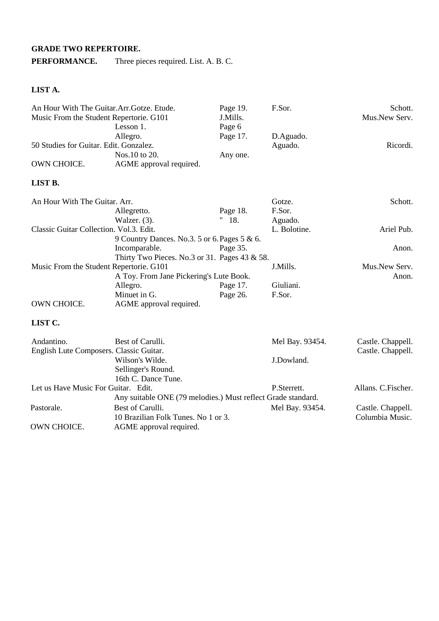# **GRADE TWO REPERTOIRE.**

**PERFORMANCE.** Three pieces required. List. A. B. C.

# **LIST A.**

| An Hour With The Guitar.Arr.Gotze. Etude.<br>Music From the Student Repertorie. G101 | Lesson $1$ .                                      | Page 19.<br>J.Mills.<br>Page 6 | F.Sor.       | Schott.<br>Mus.New Serv. |
|--------------------------------------------------------------------------------------|---------------------------------------------------|--------------------------------|--------------|--------------------------|
|                                                                                      | Allegro.                                          | Page 17.                       | D.Aguado.    |                          |
| 50 Studies for Guitar. Edit. Gonzalez.                                               |                                                   |                                | Aguado.      | Ricordi.                 |
|                                                                                      | Nos.10 to 20.                                     | Any one.                       |              |                          |
| OWN CHOICE.                                                                          | AGME approval required.                           |                                |              |                          |
| LIST B.                                                                              |                                                   |                                |              |                          |
| An Hour With The Guitar. Arr.                                                        |                                                   |                                | Gotze.       | Schott.                  |
|                                                                                      | Allegretto.                                       | Page 18.                       | F.Sor.       |                          |
|                                                                                      | Walzer. (3).                                      | " 18.                          | Aguado.      |                          |
| Classic Guitar Collection. Vol.3. Edit.                                              |                                                   |                                | L. Bolotine. | Ariel Pub.               |
|                                                                                      | 9 Country Dances. No.3. 5 or 6. Pages 5 & 6.      |                                |              |                          |
|                                                                                      | Incomparable.                                     | Page 35.                       |              | Anon.                    |
|                                                                                      | Thirty Two Pieces. No.3 or 31. Pages $43 \& 58$ . |                                |              |                          |
| Music From the Student Repertorie. G101                                              |                                                   |                                | J.Mills.     | Mus.New Serv.            |
|                                                                                      | A Toy. From Jane Pickering's Lute Book.           |                                |              | Anon.                    |
|                                                                                      | Allegro.                                          | Page 17.                       | Giuliani.    |                          |
|                                                                                      | Minuet in G.                                      | Page 26.                       | F.Sor.       |                          |
| OWN CHOICE.                                                                          | AGME approval required.                           |                                |              |                          |

| Andantino.<br>English Lute Composers. Classic Guitar. | Best of Carulli.                                             | Mel Bay. 93454. | Castle. Chappell.<br>Castle. Chappell. |
|-------------------------------------------------------|--------------------------------------------------------------|-----------------|----------------------------------------|
|                                                       | Wilson's Wilde.                                              | J.Dowland.      |                                        |
|                                                       | Sellinger's Round.                                           |                 |                                        |
|                                                       | 16th C. Dance Tune.                                          |                 |                                        |
| Let us Have Music For Guitar. Edit.                   |                                                              | P.Sterrett.     | Allans. C. Fischer.                    |
|                                                       | Any suitable ONE (79 melodies.) Must reflect Grade standard. |                 |                                        |
| Pastorale.                                            | Best of Carulli.                                             | Mel Bay. 93454. | Castle. Chappell.                      |
|                                                       | 10 Brazilian Folk Tunes. No 1 or 3.                          |                 | Columbia Music.                        |
| OWN CHOICE.                                           | AGME approval required.                                      |                 |                                        |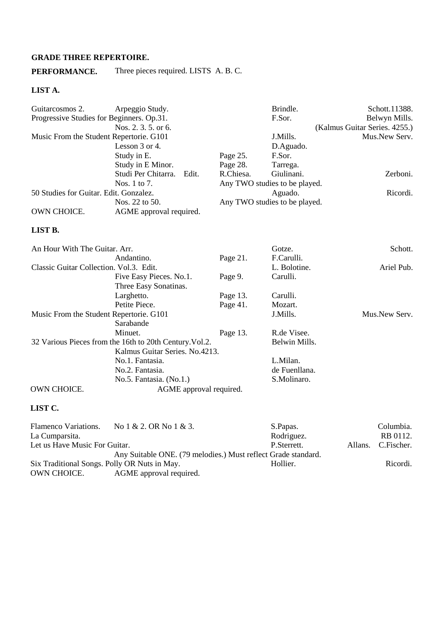### **GRADE THREE REPERTOIRE.**

**PERFORMANCE.** Three pieces required. LISTS A. B. C.

#### **LIST A.**

| Guitarcosmos 2.                           | Arpeggio Study.                                         |           | Brindle.                      | Schott.11388.                 |
|-------------------------------------------|---------------------------------------------------------|-----------|-------------------------------|-------------------------------|
| Progressive Studies for Beginners. Op.31. |                                                         |           | F.Sor.                        | Belwyn Mills.                 |
|                                           | Nos. 2, 3, 5, or 6.                                     |           |                               | (Kalmus Guitar Series. 4255.) |
| Music From the Student Repertorie. G101   |                                                         |           | J.Mills.                      | Mus.New Serv.                 |
|                                           | Lesson 3 or 4.                                          |           | D.Aguado.                     |                               |
|                                           | Study in E.                                             | Page 25.  | F.Sor.                        |                               |
|                                           | Study in E Minor.                                       | Page 28.  | Tarrega.                      |                               |
|                                           | Studi Per Chitarra.<br>Edit.                            | R.Chiesa. | Giulinani.                    | Zerboni.                      |
|                                           | Nos. 1 to 7.                                            |           | Any TWO studies to be played. |                               |
| 50 Studies for Guitar. Edit. Gonzalez.    |                                                         |           | Aguado.                       | Ricordi.                      |
|                                           | Nos. 22 to 50.                                          |           | Any TWO studies to be played. |                               |
| OWN CHOICE.                               | AGME approval required.                                 |           |                               |                               |
| LIST B.                                   |                                                         |           |                               |                               |
| An Hour With The Guitar. Arr.             |                                                         |           | Gotze.                        | Schott.                       |
|                                           | Andantino.                                              | Page 21.  | F.Carulli.                    |                               |
| Classic Guitar Collection. Vol.3. Edit.   |                                                         |           | L. Bolotine.                  | Ariel Pub.                    |
|                                           | Five Easy Pieces. No.1.                                 | Page 9.   | Carulli.                      |                               |
|                                           | Three Easy Sonatinas.                                   |           |                               |                               |
|                                           | Larghetto.                                              | Page 13.  | Carulli.                      |                               |
|                                           | Petite Piece.                                           | Page 41.  | Mozart.                       |                               |
| Music From the Student Repertorie. G101   |                                                         |           | J.Mills.                      | Mus.New Serv.                 |
|                                           | Sarabande                                               |           |                               |                               |
|                                           | Minuet.                                                 | Page 13.  | R.de Visee.                   |                               |
|                                           | 32 Various Pieces from the 16th to 20th Century. Vol.2. |           | Belwin Mills.                 |                               |
|                                           | Kalmus Guitar Series. No.4213.                          |           |                               |                               |
|                                           | No.1. Fantasia.                                         |           | L.Milan.                      |                               |
|                                           | No.2. Fantasia.                                         |           | de Fuenllana.                 |                               |
|                                           | No.5. Fantasia. (No.1.)                                 |           | S.Molinaro.                   |                               |
| OWN CHOICE.                               | AGME approval required.                                 |           |                               |                               |

| Flamenco Variations.                         | No $1 \& 2$ . OR No $1 \& 3$ .                                | S.Papas.    |         | Columbia.  |
|----------------------------------------------|---------------------------------------------------------------|-------------|---------|------------|
| La Cumparsita.                               |                                                               | Rodriguez.  |         | RB 0112.   |
| Let us Have Music For Guitar.                |                                                               | P.Sterrett. | Allans. | C.Fischer. |
|                                              | Any Suitable ONE. (79 melodies.) Must reflect Grade standard. |             |         |            |
| Six Traditional Songs. Polly OR Nuts in May. |                                                               | Hollier.    |         | Ricordi.   |
| OWN CHOICE.                                  | AGME approval required.                                       |             |         |            |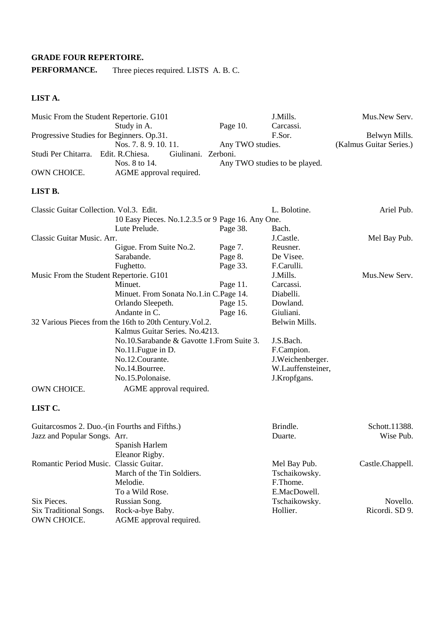### **GRADE FOUR REPERTOIRE.**

**PERFORMANCE.** Three pieces required. LISTS A. B. C.

# **LIST A.**

|                                         | Music From the Student Repertorie. G101                 |                  | J.Mills.                      | Mus.New Serv.           |
|-----------------------------------------|---------------------------------------------------------|------------------|-------------------------------|-------------------------|
|                                         | Study in A.                                             | Page 10.         | Carcassi.                     |                         |
|                                         | Progressive Studies for Beginners. Op.31.               |                  | F.Sor.                        | Belwyn Mills.           |
|                                         | Nos. 7.8.9.10.11.                                       | Any TWO studies. |                               | (Kalmus Guitar Series.) |
| Studi Per Chitarra.                     | Edit. R.Chiesa.<br>Giulinani. Zerboni.                  |                  |                               |                         |
|                                         | Nos. 8 to 14.                                           |                  | Any TWO studies to be played. |                         |
| OWN CHOICE.                             | AGME approval required.                                 |                  |                               |                         |
| LIST B.                                 |                                                         |                  |                               |                         |
| Classic Guitar Collection. Vol.3. Edit. |                                                         |                  | L. Bolotine.                  | Ariel Pub.              |
|                                         | 10 Easy Pieces. No.1.2.3.5 or 9 Page 16. Any One.       |                  |                               |                         |
|                                         | Lute Prelude.                                           | Page 38.         | Bach.                         |                         |
| Classic Guitar Music. Arr.              |                                                         |                  | J.Castle.                     | Mel Bay Pub.            |
|                                         | Gigue. From Suite No.2.                                 | Page 7.          | Reusner.                      |                         |
|                                         | Sarabande.                                              | Page 8.          | De Visee.                     |                         |
|                                         | Fughetto.                                               | Page 33.         | F.Carulli.                    |                         |
|                                         | Music From the Student Repertorie. G101                 |                  | J.Mills.                      | Mus.New Serv.           |
|                                         | Minuet.                                                 | Page 11.         | Carcassi.                     |                         |
|                                         | Minuet. From Sonata No.1.in C.Page 14.                  |                  | Diabelli.                     |                         |
|                                         | Orlando Sleepeth.                                       | Page 15.         | Dowland.                      |                         |
|                                         | Andante in C.                                           | Page 16.         | Giuliani.                     |                         |
|                                         | 32 Various Pieces from the 16th to 20th Century. Vol.2. |                  | Belwin Mills.                 |                         |
|                                         | Kalmus Guitar Series. No.4213.                          |                  |                               |                         |
|                                         | No.10.Sarabande & Gavotte 1.From Suite 3.               |                  | J.S.Bach.                     |                         |
|                                         | No.11. Fugue in D.                                      |                  | F.Campion.                    |                         |
|                                         | No.12.Courante.                                         |                  | J.Weichenberger.              |                         |
|                                         | No.14.Bourree.                                          |                  | W.Lauffensteiner,             |                         |
|                                         | No.15.Polonaise.                                        |                  | J.Kropfgans.                  |                         |
| OWN CHOICE.                             | AGME approval required.                                 |                  |                               |                         |
| LIST C.                                 |                                                         |                  |                               |                         |
|                                         | Guitarcosmos 2. Duo.-(in Fourths and Fifths.)           |                  | Brindle.                      | Schott.11388.           |
| Jazz and Popular Songs. Arr.            |                                                         |                  | Duarte.                       | Wise Pub.               |
|                                         | Spanish Harlem                                          |                  |                               |                         |
|                                         | Eleanor Rigby.                                          |                  |                               |                         |

|                                        | Eleanor Rigby.                              |               |                  |
|----------------------------------------|---------------------------------------------|---------------|------------------|
| Romantic Period Music. Classic Guitar. |                                             | Mel Bay Pub.  | Castle.Chappell. |
|                                        | March of the Tin Soldiers.                  | Tschaikowsky. |                  |
|                                        | Melodie.                                    | F.Thome.      |                  |
|                                        | To a Wild Rose.                             | E.MacDowell.  |                  |
| Six Pieces.                            | Russian Song.                               | Tschaikowsky. | Novello.         |
| Six Traditional Songs.<br>OWN CHOICE.  | Rock-a-bye Baby.<br>AGME approval required. | Hollier.      | Ricordi. SD 9.   |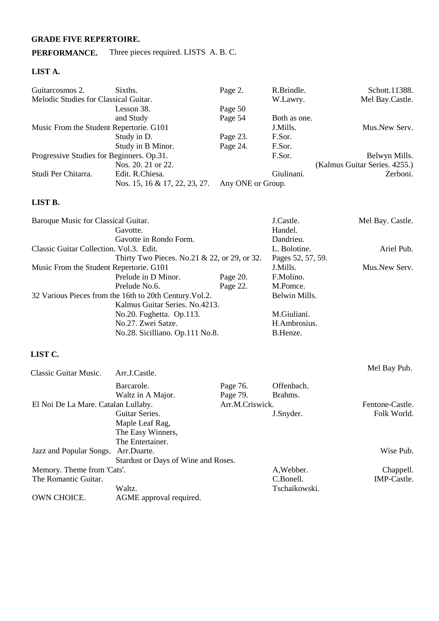# **GRADE FIVE REPERTOIRE.**

### **PERFORMANCE.** Three pieces required. LISTS A. B. C.

### **LIST A.**

| Guitarcosmos 2.                           | Sixths.                       | Page 2.           | R.Brindle.   | Schott.11388.                 |
|-------------------------------------------|-------------------------------|-------------------|--------------|-------------------------------|
| Melodic Studies for Classical Guitar.     |                               |                   | W.Lawry.     | Mel Bay.Castle.               |
|                                           | Lesson 38.                    | Page 50           |              |                               |
|                                           | and Study                     | Page 54           | Both as one. |                               |
| Music From the Student Repertorie. G101   |                               |                   | J.Mills.     | Mus.New Serv.                 |
|                                           | Study in D.                   | Page 23.          | F.Sor.       |                               |
|                                           | Study in B Minor.             | Page 24.          | F.Sor.       |                               |
| Progressive Studies for Beginners. Op.31. |                               |                   | F.Sor.       | Belwyn Mills.                 |
|                                           | Nos. 20, 21 or 22.            |                   |              | (Kalmus Guitar Series. 4255.) |
| Studi Per Chitarra.                       | Edit. R.Chiesa.               |                   | Giulinani.   | Zerboni.                      |
|                                           | Nos. 15, 16 & 17, 22, 23, 27. | Any ONE or Group. |              |                               |

### **LIST B.**

| Baroque Music for Classical Guitar.                     |          | J.Castle.         | Mel Bay. Castle. |
|---------------------------------------------------------|----------|-------------------|------------------|
| Gavotte.                                                |          | Handel.           |                  |
| Gavotte in Rondo Form.                                  |          | Dandrieu.         |                  |
| Classic Guitar Collection. Vol.3. Edit.                 |          | L. Bolotine.      | Ariel Pub.       |
| Thirty Two Pieces. No.21 $& 22$ , or 29, or 32.         |          | Pages 52, 57, 59. |                  |
| Music From the Student Repertorie. G101                 |          | J.Mills.          | Mus.New Serv.    |
| Prelude in D Minor.                                     | Page 20. | F.Molino.         |                  |
| Prelude No.6.                                           | Page 22. | M.Pomce.          |                  |
| 32 Various Pieces from the 16th to 20th Century. Vol.2. |          | Belwin Mills.     |                  |
| Kalmus Guitar Series. No.4213.                          |          |                   |                  |
| No.20. Fughetta. Op.113.                                |          | M.Giuliani.       |                  |
| No.27. Zwei Satze.                                      |          | H.Ambrosius.      |                  |
| No.28. Sicilliano. Op.111 No.8.                         |          | B.Henze.          |                  |

| Classic Guitar Music.               | Arr.J.Castle.                       |                 |               | Mel Bay Pub.    |
|-------------------------------------|-------------------------------------|-----------------|---------------|-----------------|
|                                     | Barcarole.                          | Page 76.        | Offenbach.    |                 |
|                                     | Waltz in A Major.                   | Page 79.        | Brahms.       |                 |
| El Noi De La Mare. Catalan Lullaby. |                                     | Arr.M.Criswick. |               | Fentone-Castle. |
|                                     | Guitar Series.                      |                 | J.Snyder.     | Folk World.     |
|                                     | Maple Leaf Rag,                     |                 |               |                 |
|                                     | The Easy Winners,                   |                 |               |                 |
|                                     | The Entertainer.                    |                 |               |                 |
| Jazz and Popular Songs. Arr.Duarte. |                                     |                 |               | Wise Pub.       |
|                                     | Stardust or Days of Wine and Roses. |                 |               |                 |
| Memory. Theme from 'Cats'.          |                                     |                 | A, Webber.    | Chappell.       |
| The Romantic Guitar.                |                                     |                 | C.Bonell.     | IMP-Castle.     |
|                                     | Waltz.                              |                 | Tschaikowski. |                 |
| OWN CHOICE.                         | AGME approval required.             |                 |               |                 |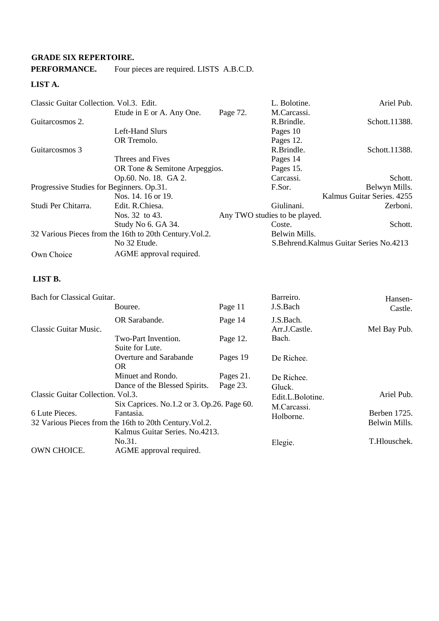### **GRADE SIX REPERTOIRE.**

### **PERFORMANCE.** Four pieces are required. LISTS A.B.C.D.

### **LIST A.**

| Classic Guitar Collection. Vol.3. Edit.   |                                                         |          | L. Bolotine.                  | Ariel Pub.                                |
|-------------------------------------------|---------------------------------------------------------|----------|-------------------------------|-------------------------------------------|
|                                           | Etude in E or A. Any One.                               | Page 72. | M.Carcassi.                   |                                           |
| Guitarcosmos 2.                           |                                                         |          | R.Brindle.                    | Schott.11388.                             |
|                                           | Left-Hand Slurs                                         |          | Pages 10                      |                                           |
|                                           | OR Tremolo.                                             |          | Pages 12.                     |                                           |
| Guitarcosmos 3                            |                                                         |          | R.Brindle.                    | Schott.11388.                             |
|                                           | Threes and Fives                                        |          | Pages 14                      |                                           |
|                                           | OR Tone & Semitone Arpeggios.                           |          | Pages 15.                     |                                           |
|                                           | Op.60. No. 18. GA 2.                                    |          | Carcassi.                     | Schott.                                   |
| Progressive Studies for Beginners. Op.31. |                                                         |          | F.Sor.                        | Belwyn Mills.                             |
|                                           | Nos. 14. 16 or 19.                                      |          |                               | Kalmus Guitar Series. 4255                |
| Studi Per Chitarra.                       | Edit. R.Chiesa.                                         |          | Giulinani.                    | Zerboni.                                  |
|                                           | Nos. 32 to 43.                                          |          | Any TWO studies to be played. |                                           |
|                                           | Study No 6. GA 34.                                      |          | Coste.                        | Schott.                                   |
|                                           | 32 Various Pieces from the 16th to 20th Century. Vol.2. |          | Belwin Mills.                 |                                           |
|                                           | No 32 Etude.                                            |          |                               | S. Behrend. Kalmus Guitar Series No. 4213 |
| Own Choice                                | AGME approval required.                                 |          |                               |                                           |

#### **LIST B.**

| Bach for Classical Guitar.        |                                                                      |                       | Barreiro.                       | Hansen-                       |
|-----------------------------------|----------------------------------------------------------------------|-----------------------|---------------------------------|-------------------------------|
|                                   | Bouree.                                                              | Page 11               | J.S.Bach                        | Castle.                       |
| Classic Guitar Music.             | OR Sarabande.                                                        | Page 14               | J.S.Bach.<br>Arr.J.Castle.      | Mel Bay Pub.                  |
|                                   | Two-Part Invention.<br>Suite for Lute.                               | Page 12.              | Bach.                           |                               |
|                                   | <b>Overture and Sarabande</b><br>OR.                                 | Pages 19              | De Richee.                      |                               |
|                                   | Minuet and Rondo.<br>Dance of the Blessed Spirits.                   | Pages 21.<br>Page 23. | De Richee.<br>Gluck.            |                               |
| Classic Guitar Collection. Vol.3. | Six Caprices. No.1.2 or 3. Op.26. Page 60.                           |                       | Edit.L.Bolotine.<br>M.Carcassi. | Ariel Pub.                    |
| 6 Lute Pieces.                    | Fantasia.<br>32 Various Pieces from the 16th to 20th Century. Vol.2. |                       | Holborne.                       | Berben 1725.<br>Belwin Mills. |
| OWN CHOICE.                       | Kalmus Guitar Series. No.4213.<br>No.31.<br>AGME approval required.  |                       | Elegie.                         | T.Hlouschek.                  |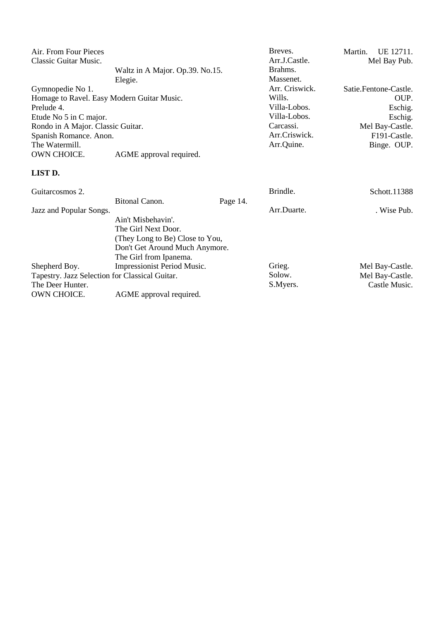| Air. From Four Pieces                      |                                 | Breves.        | Martin.<br>UE 12711.      |
|--------------------------------------------|---------------------------------|----------------|---------------------------|
| Classic Guitar Music.                      |                                 | Arr.J.Castle.  | Mel Bay Pub.              |
|                                            | Waltz in A Major. Op.39. No.15. | Brahms.        |                           |
|                                            | Elegie.                         | Massenet.      |                           |
| Gymnopedie No 1.                           |                                 | Arr. Criswick. | Satie.Fentone-Castle.     |
| Homage to Ravel. Easy Modern Guitar Music. |                                 | Wills.         | OUP.                      |
| Prelude 4.                                 |                                 | Villa-Lobos.   | Eschig.                   |
| Etude No 5 in C major.                     |                                 | Villa-Lobos.   | Eschig.                   |
| Rondo in A Major. Classic Guitar.          |                                 | Carcassi.      | Mel Bay-Castle.           |
| Spanish Romance. Anon.                     |                                 | Arr.Criswick.  | F <sub>191</sub> -Castle. |
| The Watermill.                             |                                 | Arr.Quine.     | Binge. OUP.               |
| OWN CHOICE.                                | AGME approval required.         |                |                           |
| <b>LIST D.</b>                             |                                 |                |                           |

| Guitarcosmos 2.                                |                                 |          | Brindle.    | Schott.11388    |
|------------------------------------------------|---------------------------------|----------|-------------|-----------------|
|                                                | <b>Bitonal Canon.</b>           | Page 14. |             |                 |
| Jazz and Popular Songs.                        |                                 |          | Arr.Duarte. | . Wise Pub.     |
|                                                | Ain't Misbehavin'.              |          |             |                 |
|                                                | The Girl Next Door.             |          |             |                 |
|                                                | (They Long to Be) Close to You, |          |             |                 |
|                                                | Don't Get Around Much Anymore.  |          |             |                 |
|                                                | The Girl from Ipanema.          |          |             |                 |
| Shepherd Boy.                                  | Impressionist Period Music.     |          | Grieg.      | Mel Bay-Castle. |
| Tapestry. Jazz Selection for Classical Guitar. |                                 |          | Solow.      | Mel Bay-Castle. |
| The Deer Hunter.                               |                                 |          | S.Myers.    | Castle Music.   |
| OWN CHOICE.                                    | AGME approval required.         |          |             |                 |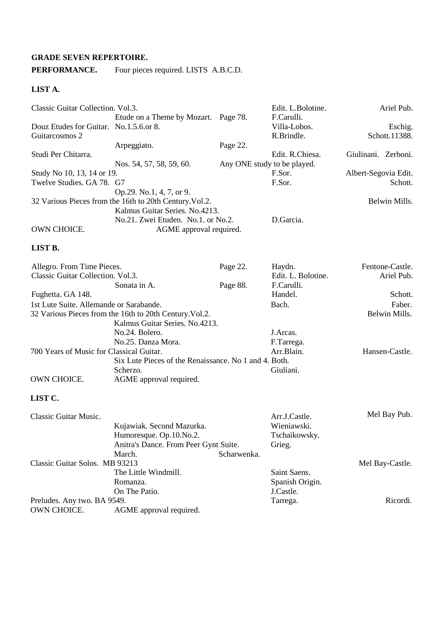#### **GRADE SEVEN REPERTOIRE.**

# **PERFORMANCE.** Four pieces required. LISTS A.B.C.D.

#### **LIST A.**

| Classic Guitar Collection. Vol.3.       |                                                         |                             | Edit. L.Bolotine.  | Ariel Pub.           |
|-----------------------------------------|---------------------------------------------------------|-----------------------------|--------------------|----------------------|
|                                         | Etude on a Theme by Mozart. Page 78.                    |                             | F.Carulli.         |                      |
| Douz Etudes for Guitar. No.1.5.6.or 8.  |                                                         |                             | Villa-Lobos.       | Eschig.              |
| Guitarcosmos 2                          |                                                         |                             | R.Brindle.         | Schott.11388.        |
|                                         | Arpeggiato.                                             | Page 22.                    |                    |                      |
| Studi Per Chitarra.                     |                                                         |                             | Edit. R.Chiesa.    | Giulinani. Zerboni.  |
|                                         | Nos. 54, 57, 58, 59, 60.                                | Any ONE study to be played. |                    |                      |
| Study No 10, 13, 14 or 19.              |                                                         |                             | F.Sor.             | Albert-Segovia Edit. |
| Twelve Studies. GA 78. G7               |                                                         |                             | F.Sor.             | Schott.              |
|                                         | Op.29. No.1, 4, 7, or 9.                                |                             |                    |                      |
|                                         | 32 Various Pieces from the 16th to 20th Century. Vol.2. |                             |                    | Belwin Mills.        |
|                                         | Kalmus Guitar Series. No.4213.                          |                             |                    |                      |
|                                         | No.21. Zwei Etuden. No.1. or No.2.                      |                             | D.Garcia.          |                      |
| OWN CHOICE.                             | AGME approval required.                                 |                             |                    |                      |
| LIST B.                                 |                                                         |                             |                    |                      |
| Allegro. From Time Pieces.              |                                                         | Page 22.                    | Haydn.             | Fentone-Castle.      |
| Classic Guitar Collection. Vol.3.       |                                                         |                             | Edit. L. Bolotine. | Ariel Pub.           |
|                                         | Sonata in A.                                            | Page 88.                    | F.Carulli.         |                      |
| Fughetta. GA 148.                       |                                                         |                             | Handel.            | Schott.              |
| 1st Lute Suite. Allemande or Sarabande. |                                                         |                             | Bach.              | Faber.               |
|                                         | 32 Various Pieces from the 16th to 20th Century. Vol.2. |                             |                    | Belwin Mills.        |
|                                         | Kalmus Guitar Series. No.4213.                          |                             |                    |                      |

|                                          | Txailings Outlat Defies. Tw. 7219.                    |            |                |
|------------------------------------------|-------------------------------------------------------|------------|----------------|
|                                          | No.24, Bolero.                                        | J.Arcas.   |                |
|                                          | No.25. Danza Mora.                                    | F.Tarrega. |                |
| 700 Years of Music for Classical Guitar. |                                                       | Arr.Blain. | Hansen-Castle. |
|                                          | Six Lute Pieces of the Renaissance. No 1 and 4. Both. |            |                |
|                                          | Scherzo.                                              | Giuliani.  |                |
| OWN CHOICE.                              | AGME approval required.                               |            |                |
|                                          |                                                       |            |                |

| Classic Guitar Music.          |                                       |             | Arr.J.Castle.   | Mel Bay Pub.    |
|--------------------------------|---------------------------------------|-------------|-----------------|-----------------|
|                                | Kujawiak. Second Mazurka.             |             | Wieniawski.     |                 |
|                                | Humoresque. Op.10.No.2.               |             | Tschaikowsky.   |                 |
|                                | Anitra's Dance. From Peer Gynt Suite. |             | Grieg.          |                 |
|                                | March.                                | Scharwenka. |                 |                 |
| Classic Guitar Solos. MB 93213 |                                       |             |                 | Mel Bay-Castle. |
|                                | The Little Windmill.                  |             | Saint Saens.    |                 |
|                                | Romanza.                              |             | Spanish Origin. |                 |
|                                | On The Patio.                         |             | J.Castle.       |                 |
| Preludes. Any two. BA 9549.    |                                       |             | Tarrega.        | Ricordi.        |
| OWN CHOICE.                    | AGME approval required.               |             |                 |                 |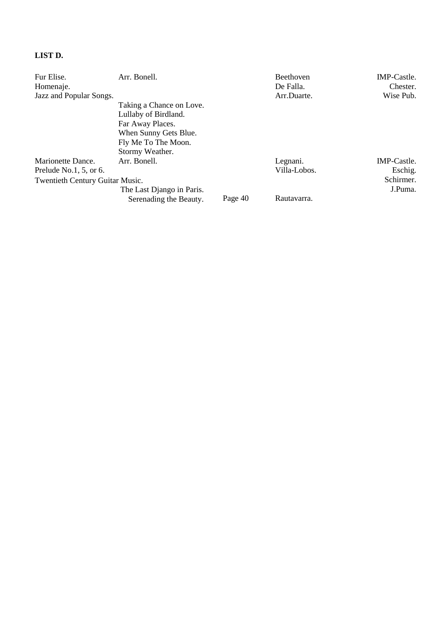# **LIST D.**

| Fur Elise.                      | Arr. Bonell.              |         | <b>Beethoven</b> | IMP-Castle. |
|---------------------------------|---------------------------|---------|------------------|-------------|
| Homenaje.                       |                           |         | De Falla.        | Chester.    |
| Jazz and Popular Songs.         |                           |         | Arr.Duarte.      | Wise Pub.   |
|                                 | Taking a Chance on Love.  |         |                  |             |
|                                 | Lullaby of Birdland.      |         |                  |             |
|                                 | Far Away Places.          |         |                  |             |
|                                 | When Sunny Gets Blue.     |         |                  |             |
|                                 | Fly Me To The Moon.       |         |                  |             |
|                                 | Stormy Weather.           |         |                  |             |
| Marionette Dance.               | Arr. Bonell.              |         | Legnani.         | IMP-Castle. |
| Prelude No.1, $5$ , or 6.       |                           |         | Villa-Lobos.     | Eschig.     |
| Twentieth Century Guitar Music. |                           |         |                  | Schirmer.   |
|                                 | The Last Django in Paris. |         |                  | J.Puma.     |
|                                 | Serenading the Beauty.    | Page 40 | Rautavarra.      |             |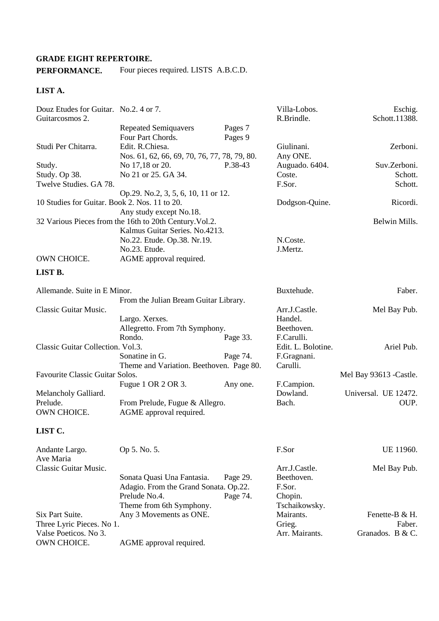### **GRADE EIGHT REPERTOIRE.**

# **PERFORMANCE.** Four pieces required. LISTS A.B.C.D.

### **LIST A.**

| Douz Etudes for Guitar. No.2. 4 or 7.<br>Guitarcosmos 2. |                                                         |          | Villa-Lobos.<br>R.Brindle. | Eschig.<br>Schott.11388. |
|----------------------------------------------------------|---------------------------------------------------------|----------|----------------------------|--------------------------|
|                                                          | <b>Repeated Semiquavers</b><br>Four Part Chords.        | Pages 7  |                            |                          |
| Studi Per Chitarra.                                      | Edit. R.Chiesa.                                         | Pages 9  | Giulinani.                 | Zerboni.                 |
|                                                          | Nos. 61, 62, 66, 69, 70, 76, 77, 78, 79, 80.            |          | Any ONE.                   |                          |
| Study.                                                   | No 17,18 or 20.                                         | P.38-43  | Auguado. 6404.             | Suv.Zerboni.             |
| Study. Op 38.                                            | No 21 or 25. GA 34.                                     |          | Coste.                     | Schott.                  |
| Twelve Studies. GA 78.                                   |                                                         |          | F.Sor.                     | Schott.                  |
|                                                          | Op.29. No.2, 3, 5, 6, 10, 11 or 12.                     |          |                            |                          |
| 10 Studies for Guitar. Book 2. Nos. 11 to 20.            |                                                         |          | Dodgson-Quine.             | Ricordi.                 |
|                                                          | Any study except No.18.                                 |          |                            |                          |
|                                                          | 32 Various Pieces from the 16th to 20th Century. Vol.2. |          |                            | Belwin Mills.            |
|                                                          | Kalmus Guitar Series. No.4213.                          |          |                            |                          |
|                                                          | No.22. Etude. Op.38. Nr.19.                             |          | N.Coste.                   |                          |
|                                                          | No.23. Etude.                                           |          | J.Mertz.                   |                          |
| OWN CHOICE.                                              | AGME approval required.                                 |          |                            |                          |
| LIST B.                                                  |                                                         |          |                            |                          |
|                                                          |                                                         |          |                            |                          |
| Allemande. Suite in E Minor.                             |                                                         |          | Buxtehude.                 | Faber.                   |
|                                                          | From the Julian Bream Guitar Library.                   |          |                            |                          |
| Classic Guitar Music.                                    |                                                         |          | Arr.J.Castle.              | Mel Bay Pub.             |
|                                                          | Largo. Xerxes.                                          |          | Handel.                    |                          |
|                                                          | Allegretto. From 7th Symphony.                          |          | Beethoven.                 |                          |
|                                                          | Rondo.                                                  | Page 33. | F.Carulli.                 |                          |
| Classic Guitar Collection. Vol.3.                        |                                                         |          | Edit. L. Bolotine.         | Ariel Pub.               |
|                                                          | Sonatine in G.                                          | Page 74. | F.Gragnani.                |                          |
|                                                          | Theme and Variation. Beethoven. Page 80.                |          | Carulli.                   |                          |
| Favourite Classic Guitar Solos.                          |                                                         |          |                            | Mel Bay 93613 - Castle.  |
|                                                          | Fugue 1 OR 2 OR 3.                                      | Any one. | F.Campion.                 |                          |
| Melancholy Galliard.                                     |                                                         |          | Dowland.                   | Universal. UE 12472.     |
| Prelude.                                                 | From Prelude, Fugue & Allegro.                          |          | Bach.                      | OUP.                     |
| OWN CHOICE.                                              | AGME approval required.                                 |          |                            |                          |
| LIST C.                                                  |                                                         |          |                            |                          |
| Andante Largo.                                           | Op 5. No. 5.                                            |          | F.Sor                      | UE 11960.                |
| Ave Maria                                                |                                                         |          |                            |                          |
| Classic Guitar Music.                                    |                                                         |          | Arr.J.Castle.              | Mel Bay Pub.             |
|                                                          | Sonata Quasi Una Fantasia.                              | Page 29. | Beethoven.                 |                          |
|                                                          | Adagio. From the Grand Sonata. Op.22.                   |          | F.Sor.                     |                          |
|                                                          | Prelude No.4.                                           | Page 74. | Chopin.                    |                          |
|                                                          | Theme from 6th Symphony.                                |          | Tschaikowsky.              |                          |
| Six Part Suite.                                          | Any 3 Movements as ONE.                                 |          | Mairants.                  | Fenette-B & H.           |
| Three Lyric Pieces. No 1.                                |                                                         |          | Grieg.                     | Faber.                   |
| Valse Poeticos. No 3.                                    |                                                         |          | Arr. Mairants.             | Granados. B $&C$ .       |
| OWN CHOICE.                                              | AGME approval required.                                 |          |                            |                          |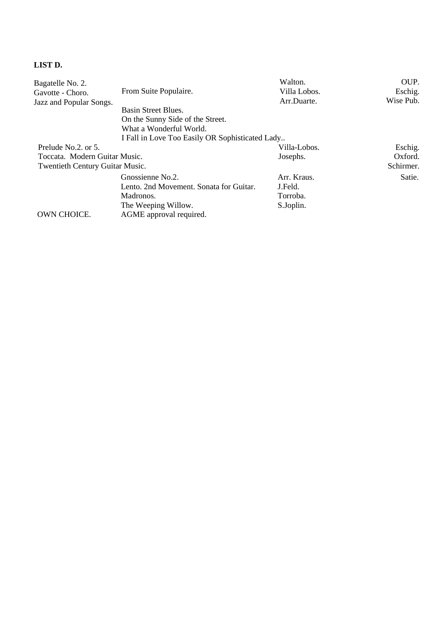# **LIST D.**

| Bagatelle No. 2.                |                                                 | Walton.      | OUP.      |
|---------------------------------|-------------------------------------------------|--------------|-----------|
| Gavotte - Choro.                | From Suite Populaire.                           | Villa Lobos. | Eschig.   |
| Jazz and Popular Songs.         |                                                 | Arr.Duarte.  | Wise Pub. |
|                                 | Basin Street Blues.                             |              |           |
|                                 | On the Sunny Side of the Street.                |              |           |
|                                 | What a Wonderful World.                         |              |           |
|                                 | I Fall in Love Too Easily OR Sophisticated Lady |              |           |
| Prelude No.2. or 5.             |                                                 | Villa-Lobos. | Eschig.   |
| Toccata. Modern Guitar Music.   |                                                 | Josephs.     | Oxford.   |
| Twentieth Century Guitar Music. |                                                 |              | Schirmer. |
|                                 | Gnossienne No.2.                                | Arr. Kraus.  | Satie.    |
|                                 | Lento. 2nd Movement. Sonata for Guitar.         | J.Feld.      |           |
|                                 | Madronos.                                       | Torroba.     |           |
|                                 | The Weeping Willow.                             | S.Joplin.    |           |
| <b>OWN CHOICE.</b>              | AGME approval required.                         |              |           |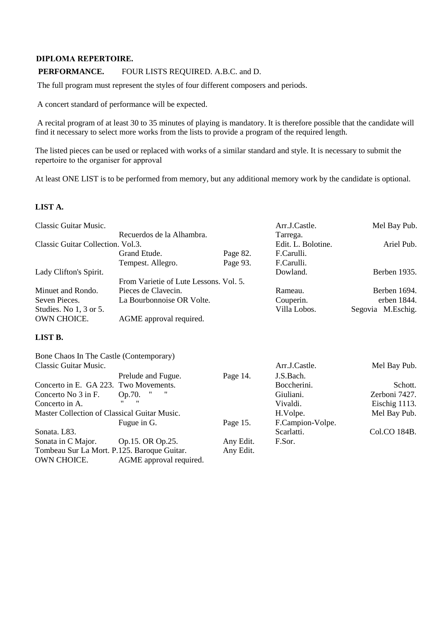#### **DIPLOMA REPERTOIRE.**

### **PERFORMANCE.** FOUR LISTS REQUIRED. A.B.C. and D.

The full program must represent the styles of four different composers and periods.

A concert standard of performance will be expected.

Tombeau Sur La Mort. P.125. Baroque Guitar. OWN CHOICE. AGME approval required.

 A recital program of at least 30 to 35 minutes of playing is mandatory. It is therefore possible that the candidate will find it necessary to select more works from the lists to provide a program of the required length.

The listed pieces can be used or replaced with works of a similar standard and style. It is necessary to submit the repertoire to the organiser for approval

At least ONE LIST is to be performed from memory, but any additional memory work by the candidate is optional.

#### **LIST A.**

| Classic Guitar Music.                        |                                        |           | Arr.J.Castle.      | Mel Bay Pub.      |
|----------------------------------------------|----------------------------------------|-----------|--------------------|-------------------|
|                                              | Recuerdos de la Alhambra.              |           | Tarrega.           |                   |
| Classic Guitar Collection. Vol.3.            |                                        |           | Edit. L. Bolotine. | Ariel Pub.        |
|                                              | Grand Etude.                           | Page 82.  | F.Carulli.         |                   |
|                                              | Tempest. Allegro.                      | Page 93.  | F.Carulli.         |                   |
| Lady Clifton's Spirit.                       |                                        |           | Dowland.           | Berben 1935.      |
|                                              | From Varietie of Lute Lessons. Vol. 5. |           |                    |                   |
| Minuet and Rondo.                            | Pieces de Clavecin.                    |           | Rameau.            | Berben 1694.      |
| Seven Pieces.                                | La Bourbonnoise OR Volte.              |           | Couperin.          | erben 1844.       |
| Studies. No 1, 3 or 5.                       |                                        |           | Villa Lobos.       | Segovia M.Eschig. |
| OWN CHOICE.                                  | AGME approval required.                |           |                    |                   |
| LIST B.                                      |                                        |           |                    |                   |
| Bone Chaos In The Castle (Contemporary)      |                                        |           |                    |                   |
| Classic Guitar Music.                        |                                        |           | Arr.J.Castle.      | Mel Bay Pub.      |
|                                              | Prelude and Fugue.                     | Page 14.  | J.S.Bach.          |                   |
| Concerto in E. GA 223. Two Movements.        |                                        |           | Boccherini.        | Schott.           |
| Concerto No 3 in F.                          | Op.70.                                 |           | Giuliani.          | Zerboni 7427.     |
| Concerto in A.                               |                                        |           | Vivaldi.           | Eischig 1113.     |
| Master Collection of Classical Guitar Music. |                                        |           | H.Volpe.           | Mel Bay Pub.      |
|                                              | Fugue in G.                            | Page 15.  | F.Campion-Volpe.   |                   |
| Sonata. L83.                                 |                                        |           | Scarlatti.         | Col.CO 184B.      |
| Sonata in C Major.                           | Op.15. OR Op.25.                       | Any Edit. | F.Sor.             |                   |
| Tombeau Sur La Mort. P.125. Baroque Guitar.  |                                        | Any Edit. |                    |                   |